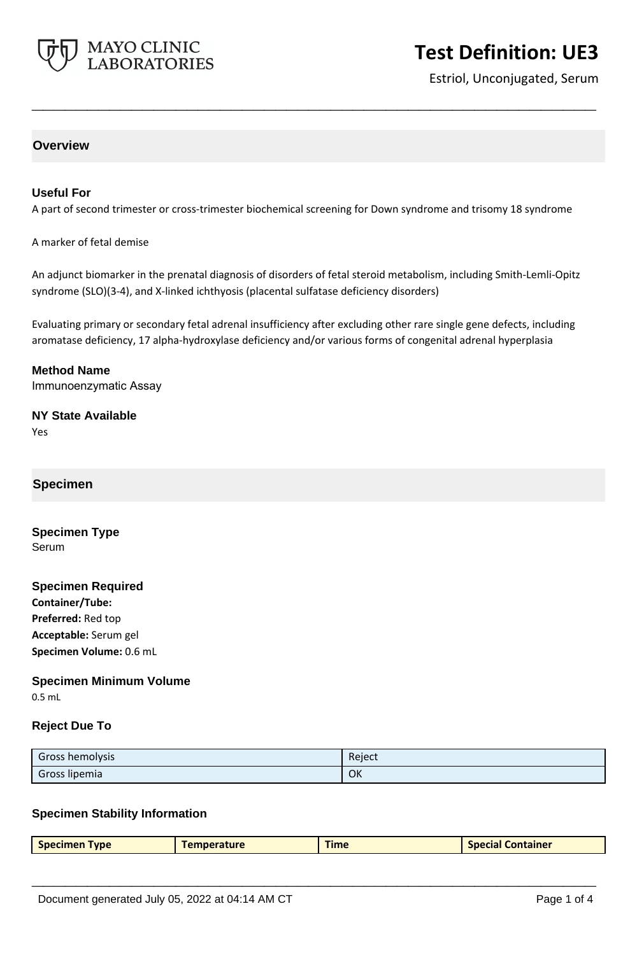

# **Test Definition: UE3**

Estriol, Unconjugated, Serum

# **Overview**

### **Useful For**

A part of second trimester or cross-trimester biochemical screening for Down syndrome and trisomy 18 syndrome

**\_\_\_\_\_\_\_\_\_\_\_\_\_\_\_\_\_\_\_\_\_\_\_\_\_\_\_\_\_\_\_\_\_\_\_\_\_\_\_\_\_\_\_\_\_\_\_\_\_\_\_**

A marker of fetal demise

An adjunct biomarker in the prenatal diagnosis of disorders of fetal steroid metabolism, including Smith-Lemli-Opitz syndrome (SLO)(3-4), and X-linked ichthyosis (placental sulfatase deficiency disorders)

Evaluating primary or secondary fetal adrenal insufficiency after excluding other rare single gene defects, including aromatase deficiency, 17 alpha-hydroxylase deficiency and/or various forms of congenital adrenal hyperplasia

**Method Name** Immunoenzymatic Assay

#### **NY State Available** Yes

# **Specimen**

**Specimen Type** Serum

## **Specimen Required**

**Container/Tube: Preferred:** Red top **Acceptable:** Serum gel **Specimen Volume:** 0.6 mL

#### **Specimen Minimum Volume**

0.5 mL

### **Reject Due To**

| Gross hemolysis | Reject |
|-----------------|--------|
| Gross lipemia   | OK     |

### **Specimen Stability Information**

|  | <b>Specimen Type</b> | Temperature | Time | <b>Special Container</b> |
|--|----------------------|-------------|------|--------------------------|
|--|----------------------|-------------|------|--------------------------|

**\_\_\_\_\_\_\_\_\_\_\_\_\_\_\_\_\_\_\_\_\_\_\_\_\_\_\_\_\_\_\_\_\_\_\_\_\_\_\_\_\_\_\_\_\_\_\_\_\_\_\_**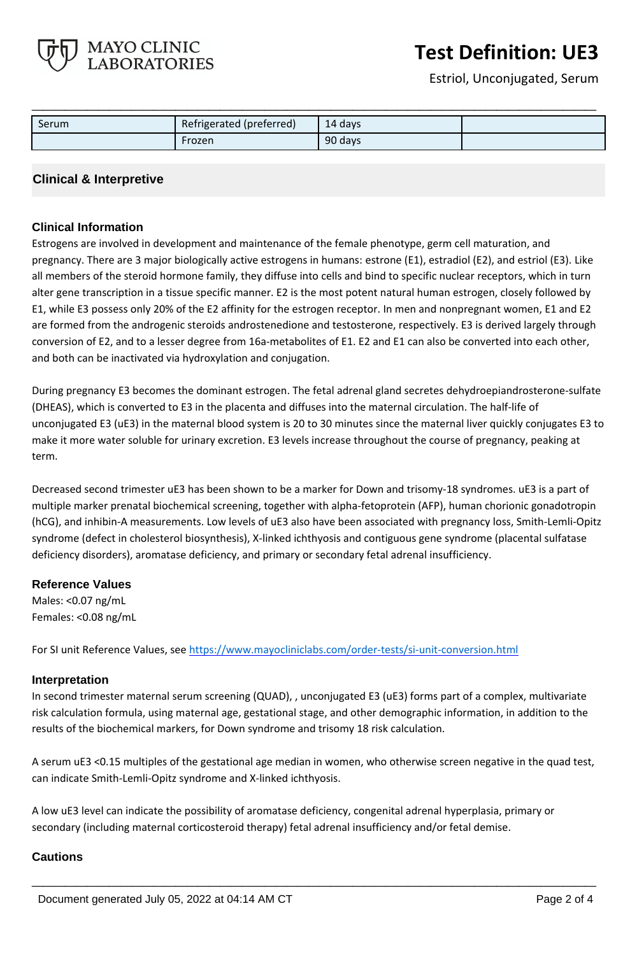# **Test Definition: UE3**

Estriol, Unconjugated, Serum

| Serum | Refrigerated (preferred) | 14 days |  |
|-------|--------------------------|---------|--|
|       | Frozen                   | 90 days |  |

**\_\_\_\_\_\_\_\_\_\_\_\_\_\_\_\_\_\_\_\_\_\_\_\_\_\_\_\_\_\_\_\_\_\_\_\_\_\_\_\_\_\_\_\_\_\_\_\_\_\_\_**

## **Clinical & Interpretive**

MAYO CLINIC **LABORATORIES** 

### **Clinical Information**

Estrogens are involved in development and maintenance of the female phenotype, germ cell maturation, and pregnancy. There are 3 major biologically active estrogens in humans: estrone (E1), estradiol (E2), and estriol (E3). Like all members of the steroid hormone family, they diffuse into cells and bind to specific nuclear receptors, which in turn alter gene transcription in a tissue specific manner. E2 is the most potent natural human estrogen, closely followed by E1, while E3 possess only 20% of the E2 affinity for the estrogen receptor. In men and nonpregnant women, E1 and E2 are formed from the androgenic steroids androstenedione and testosterone, respectively. E3 is derived largely through conversion of E2, and to a lesser degree from 16a-metabolites of E1. E2 and E1 can also be converted into each other, and both can be inactivated via hydroxylation and conjugation.

During pregnancy E3 becomes the dominant estrogen. The fetal adrenal gland secretes dehydroepiandrosterone-sulfate (DHEAS), which is converted to E3 in the placenta and diffuses into the maternal circulation. The half-life of unconjugated E3 (uE3) in the maternal blood system is 20 to 30 minutes since the maternal liver quickly conjugates E3 to make it more water soluble for urinary excretion. E3 levels increase throughout the course of pregnancy, peaking at term.

Decreased second trimester uE3 has been shown to be a marker for Down and trisomy-18 syndromes. uE3 is a part of multiple marker prenatal biochemical screening, together with alpha-fetoprotein (AFP), human chorionic gonadotropin (hCG), and inhibin-A measurements. Low levels of uE3 also have been associated with pregnancy loss, Smith-Lemli-Opitz syndrome (defect in cholesterol biosynthesis), X-linked ichthyosis and contiguous gene syndrome (placental sulfatase deficiency disorders), aromatase deficiency, and primary or secondary fetal adrenal insufficiency.

#### **Reference Values**

Males: <0.07 ng/mL Females: <0.08 ng/mL

For SI unit Reference Values, see<https://www.mayocliniclabs.com/order-tests/si-unit-conversion.html>

#### **Interpretation**

In second trimester maternal serum screening (QUAD), , unconjugated E3 (uE3) forms part of a complex, multivariate risk calculation formula, using maternal age, gestational stage, and other demographic information, in addition to the results of the biochemical markers, for Down syndrome and trisomy 18 risk calculation.

A serum uE3 <0.15 multiples of the gestational age median in women, who otherwise screen negative in the quad test, can indicate Smith-Lemli-Opitz syndrome and X-linked ichthyosis.

**\_\_\_\_\_\_\_\_\_\_\_\_\_\_\_\_\_\_\_\_\_\_\_\_\_\_\_\_\_\_\_\_\_\_\_\_\_\_\_\_\_\_\_\_\_\_\_\_\_\_\_**

A low uE3 level can indicate the possibility of aromatase deficiency, congenital adrenal hyperplasia, primary or secondary (including maternal corticosteroid therapy) fetal adrenal insufficiency and/or fetal demise.

### **Cautions**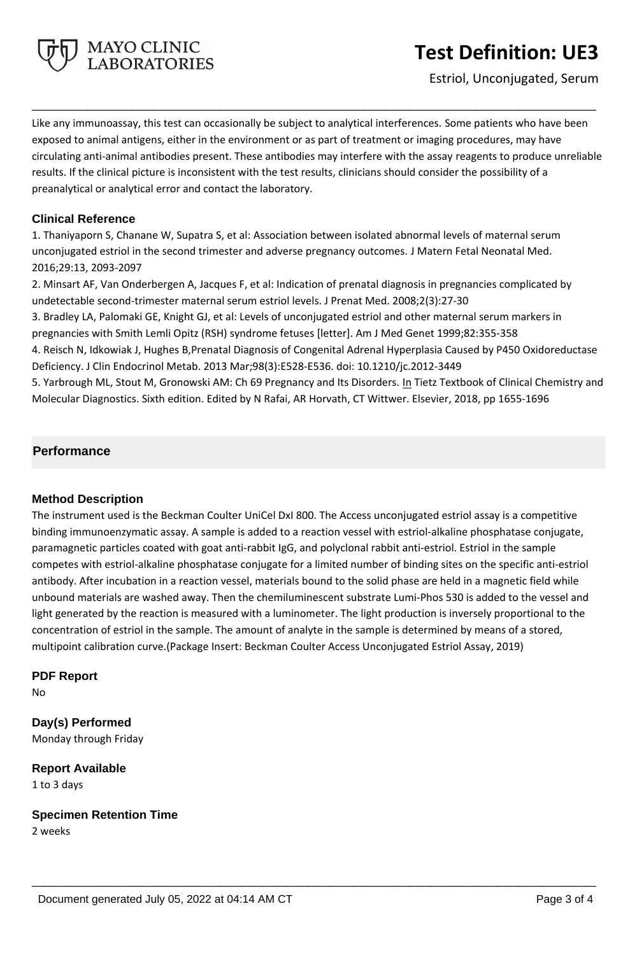

Estriol, Unconjugated, Serum

Like any immunoassay, this test can occasionally be subject to analytical interferences. Some patients who have been exposed to animal antigens, either in the environment or as part of treatment or imaging procedures, may have circulating anti-animal antibodies present. These antibodies may interfere with the assay reagents to produce unreliable results. If the clinical picture is inconsistent with the test results, clinicians should consider the possibility of a preanalytical or analytical error and contact the laboratory.

**\_\_\_\_\_\_\_\_\_\_\_\_\_\_\_\_\_\_\_\_\_\_\_\_\_\_\_\_\_\_\_\_\_\_\_\_\_\_\_\_\_\_\_\_\_\_\_\_\_\_\_**

## **Clinical Reference**

1. Thaniyaporn S, Chanane W, Supatra S, et al: Association between isolated abnormal levels of maternal serum unconjugated estriol in the second trimester and adverse pregnancy outcomes. J Matern Fetal Neonatal Med. 2016;29:13, 2093-2097

2. Minsart AF, Van Onderbergen A, Jacques F, et al: Indication of prenatal diagnosis in pregnancies complicated by undetectable second-trimester maternal serum estriol levels. J Prenat Med. 2008;2(3):27-30 3. Bradley LA, Palomaki GE, Knight GJ, et al: Levels of unconjugated estriol and other maternal serum markers in pregnancies with Smith Lemli Opitz (RSH) syndrome fetuses [letter]. Am J Med Genet 1999;82:355-358 4. Reisch N, Idkowiak J, Hughes B,Prenatal Diagnosis of Congenital Adrenal Hyperplasia Caused by P450 Oxidoreductase

Deficiency. J Clin Endocrinol Metab. 2013 Mar;98(3):E528-E536. doi: 10.1210/jc.2012-3449 5. Yarbrough ML, Stout M, Gronowski AM: Ch 69 Pregnancy and Its Disorders. In Tietz Textbook of Clinical Chemistry and Molecular Diagnostics. Sixth edition. Edited by N Rafai, AR Horvath, CT Wittwer. Elsevier, 2018, pp 1655-1696

# **Performance**

### **Method Description**

The instrument used is the Beckman Coulter UniCel DxI 800. The Access unconjugated estriol assay is a competitive binding immunoenzymatic assay. A sample is added to a reaction vessel with estriol-alkaline phosphatase conjugate, paramagnetic particles coated with goat anti-rabbit IgG, and polyclonal rabbit anti-estriol. Estriol in the sample competes with estriol-alkaline phosphatase conjugate for a limited number of binding sites on the specific anti-estriol antibody. After incubation in a reaction vessel, materials bound to the solid phase are held in a magnetic field while unbound materials are washed away. Then the chemiluminescent substrate Lumi-Phos 530 is added to the vessel and light generated by the reaction is measured with a luminometer. The light production is inversely proportional to the concentration of estriol in the sample. The amount of analyte in the sample is determined by means of a stored, multipoint calibration curve.(Package Insert: Beckman Coulter Access Unconjugated Estriol Assay, 2019)

**\_\_\_\_\_\_\_\_\_\_\_\_\_\_\_\_\_\_\_\_\_\_\_\_\_\_\_\_\_\_\_\_\_\_\_\_\_\_\_\_\_\_\_\_\_\_\_\_\_\_\_**

### **PDF Report**

No

**Day(s) Performed** Monday through Friday

**Report Available** 1 to 3 days

**Specimen Retention Time**

2 weeks